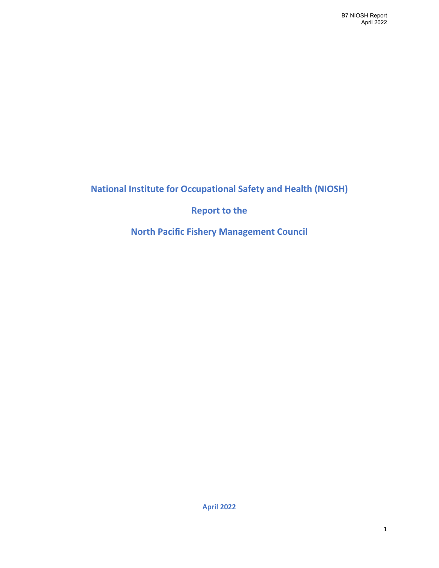**National Institute for Occupational Safety and Health (NIOSH)**

**Report to the**

**North Pacific Fishery Management Council**

**April 2022**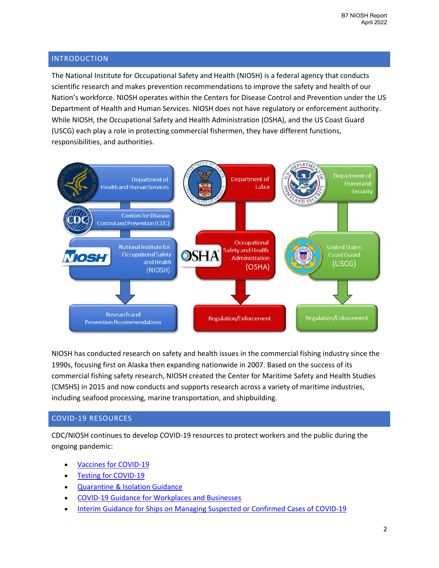## INTRODUCTION

The National Institute for Occupational Safety and Health (NIOSH) is a federal agency that conducts scientific research and makes prevention recommendations to improve the safety and health of our Nation's workforce. NIOSH operates within the Centers for Disease Control and Prevention under the US Department of Health and Human Services. NIOSH does not have regulatory or enforcement authority. While NIOSH, the Occupational Safety and Health Administration (OSHA), and the US Coast Guard (USCG) each play a role in protecting commercial fishermen, they have different functions, responsibilities, and authorities.



NIOSH has conducted research on safety and health issues in the commercial fishing industry since the 1990s, focusing first on Alaska then expanding nationwide in 2007. Based on the success of its commercial fishing safety research, NIOSH created the Center for Maritime Safety and Health Studies (CMSHS) in 2015 and now conducts and supports research across a variety of maritime industries, including seafood processing, marine transportation, and shipbuilding.

# COVID-19 RESOURCES

CDC/NIOSH continues to develop COVID-19 resources to protect workers and the public during the ongoing pandemic:

- [Vaccines for COVID-19](https://www.cdc.gov/coronavirus/2019-ncov/vaccines/index.html)
- **[Testing for COVID-19](https://www.cdc.gov/coronavirus/2019-ncov/testing/index.html)**
- [Quarantine & Isolation Guidance](https://www.cdc.gov/coronavirus/2019-ncov/your-health/quarantine-isolation.html)
- [COVID-19 Guidance for Workplaces and Businesses](https://www.cdc.gov/coronavirus/2019-ncov/community/workplaces-businesses/index.html)
- [Interim Guidance for Ships on Managing Suspected or Confirmed Cases of COVID-19](https://www.cdc.gov/quarantine/maritime/recommendations-for-ships.html)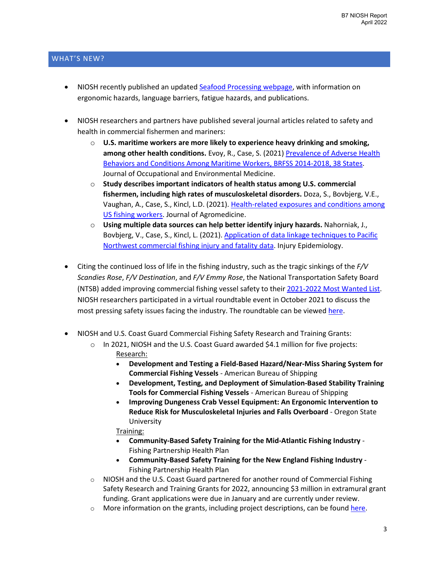# WHAT'S NEW?

- NIOSH recently published an updated [Seafood Processing webpage,](https://www.cdc.gov/niosh/maritime/industries/seafoodprocessing/default.html) with information on ergonomic hazards, language barriers, fatigue hazards, and publications.
- NIOSH researchers and partners have published several journal articles related to safety and health in commercial fishermen and mariners:
	- o **U.S. maritime workers are more likely to experience heavy drinking and smoking, among other health conditions.** Evoy, R., Case, S. (2021[\) Prevalence of Adverse Health](https://journals.lww.com/joem/Abstract/9000/Prevalence_of_Adverse_Health_Behaviors_and.97717.aspx)  [Behaviors and Conditions Among Maritime Workers, BRFSS 2014-2018, 38 States.](https://journals.lww.com/joem/Abstract/9000/Prevalence_of_Adverse_Health_Behaviors_and.97717.aspx) Journal of Occupational and Environmental Medicine.
	- o **Study describes important indicators of health status among U.S. commercial fishermen, including high rates of musculoskeletal disorders.** Doza, S., Bovbjerg, V.E., Vaughan, A., Case, S., Kincl, L.D. (2021). [Health-related exposures and conditions among](https://www.tandfonline.com/doi/full/10.1080/1059924X.2021.1944416)  [US fishing workers.](https://www.tandfonline.com/doi/full/10.1080/1059924X.2021.1944416) Journal of Agromedicine.
	- o **Using multiple data sources can help better identify injury hazards.** Nahorniak, J., Bovbjerg, V., Case, S., Kincl, L. (2021). [Application of data linkage techniques to Pacific](https://www.ncbi.nlm.nih.gov/pmc/articles/PMC8256577/)  [Northwest commercial fishing injury and fatality data.](https://www.ncbi.nlm.nih.gov/pmc/articles/PMC8256577/) Injury Epidemiology.
- Citing the continued loss of life in the fishing industry, such as the tragic sinkings of the *F/V Scandies Rose*, *F/V Destination*, and *F/V Emmy Rose*, the National Transportation Safety Board (NTSB) added improving commercial fishing vessel safety to thei[r 2021-2022 Most Wanted List.](https://www.ntsb.gov/Advocacy/mwl/Pages/mwl-21-22/mwl-ms-01.aspx) NIOSH researchers participated in a virtual roundtable event in October 2021 to discuss the most pressing safety issues facing the industry. The roundtable can be viewed [here.](https://www.youtube.com/watch?v=YM3Kbcnh_W8)
- NIOSH and U.S. Coast Guard Commercial Fishing Safety Research and Training Grants:
	- $\circ$  In 2021, NIOSH and the U.S. Coast Guard awarded \$4.1 million for five projects: Research:
		- **Development and Testing a Field-Based Hazard/Near-Miss Sharing System for Commercial Fishing Vessels** - American Bureau of Shipping
		- **Development, Testing, and Deployment of Simulation-Based Stability Training Tools for Commercial Fishing Vessels** - American Bureau of Shipping
		- **Improving Dungeness Crab Vessel Equipment: An Ergonomic Intervention to Reduce Risk for Musculoskeletal Injuries and Falls Overboard** - Oregon State University

### Training:

- **Community-Based Safety Training for the Mid-Atlantic Fishing Industry** Fishing Partnership Health Plan
- **Community-Based Safety Training for the New England Fishing Industry** Fishing Partnership Health Plan
- $\circ$  NIOSH and the U.S. Coast Guard partnered for another round of Commercial Fishing Safety Research and Training Grants for 2022, announcing \$3 million in extramural grant funding. Grant applications were due in January and are currently under review.
- $\circ$  More information on the grants, including project descriptions, can be found [here.](https://www.cdc.gov/niosh/oep/commercial-fishing-research-training/default.html)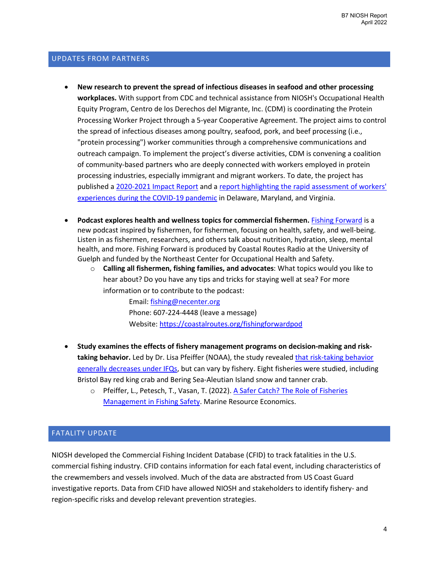# UPDATES FROM PARTNERS

- **New research to prevent the spread of infectious diseases in seafood and other processing workplaces.** With support from CDC and technical assistance from NIOSH's Occupational Health Equity Program, Centro de los Derechos del Migrante, Inc. (CDM) is coordinating the Protein Processing Worker Project through a 5-year Cooperative Agreement. The project aims to control the spread of infectious diseases among poultry, seafood, pork, and beef processing (i.e., "protein processing") worker communities through a comprehensive communications and outreach campaign. To implement the project's diverse activities, CDM is convening a coalition of community-based partners who are deeply connected with workers employed in protein processing industries, especially immigrant and migrant workers. To date, the project has published a [2020-2021 Impact Report](https://cdmigrante.org/wp-content/uploads/2021/12/PPP-Impact-Report-20-21-FINAL.pdf) and a [report highlighting the rapid assessment of workers'](https://cdmigrante.org/wp-content/uploads/2021/12/Unpacking-the-Facts-Survey-Report-Final.pdf)  [experiences during the COVID-19 pandemic](https://cdmigrante.org/wp-content/uploads/2021/12/Unpacking-the-Facts-Survey-Report-Final.pdf) in Delaware, Maryland, and Virginia.
- **Podcast explores health and wellness topics for commercial fishermen.** [Fishing Forward](https://coastalroutes.org/fishingforwardpod) is a new podcast inspired by fishermen, for fishermen, focusing on health, safety, and well-being. Listen in as fishermen, researchers, and others talk about nutrition, hydration, sleep, mental health, and more. Fishing Forward is produced by Coastal Routes Radio at the University of Guelph and funded by the Northeast Center for Occupational Health and Safety.
	- o **Calling all fishermen, fishing families, and advocates**: What topics would you like to hear about? Do you have any tips and tricks for staying well at sea? For more information or to contribute to the podcast:

Email: [fishing@necenter.org](mailto:fishing@necenter.org) Phone: 607-224-4448 (leave a message) Website[: https://coastalroutes.org/fishingforwardpod](https://coastalroutes.org/fishingforwardpod) 

- **Study examines the effects of fishery management programs on decision-making and risktaking behavior.** Led by Dr. Lisa Pfeiffer (NOAA), the study reveale[d that risk-taking behavior](https://www.fisheries.noaa.gov/feature-story/catch-shares-improve-fishing-safety)  [generally decreases under IFQs,](https://www.fisheries.noaa.gov/feature-story/catch-shares-improve-fishing-safety) but can vary by fishery. Eight fisheries were studied, including Bristol Bay red king crab and Bering Sea-Aleutian Island snow and tanner crab.
	- o Pfeiffer, L., Petesch, T., Vasan, T. (2022)[. A Safer Catch? The Role of](https://www.journals.uchicago.edu/doi/abs/10.1086/716856?journalCode=mre) Fisheries [Management in Fishing Safety.](https://www.journals.uchicago.edu/doi/abs/10.1086/716856?journalCode=mre) Marine Resource Economics.

# FATALITY UPDATE

NIOSH developed the Commercial Fishing Incident Database (CFID) to track fatalities in the U.S. commercial fishing industry. CFID contains information for each fatal event, including characteristics of the crewmembers and vessels involved. Much of the data are abstracted from US Coast Guard investigative reports. Data from CFID have allowed NIOSH and stakeholders to identify fishery- and region-specific risks and develop relevant prevention strategies.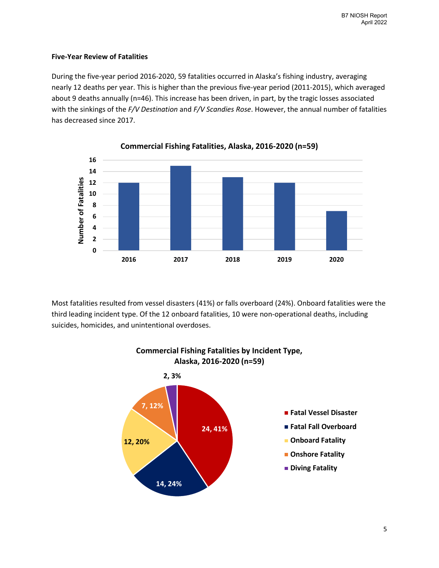## **Five-Year Review of Fatalities**

During the five-year period 2016-2020, 59 fatalities occurred in Alaska's fishing industry, averaging nearly 12 deaths per year. This is higher than the previous five-year period (2011-2015), which averaged about 9 deaths annually (n=46). This increase has been driven, in part, by the tragic losses associated with the sinkings of the *F/V Destination* and *F/V Scandies Rose*. However, the annual number of fatalities has decreased since 2017.



Most fatalities resulted from vessel disasters (41%) or falls overboard (24%). Onboard fatalities were the third leading incident type. Of the 12 onboard fatalities, 10 were non-operational deaths, including suicides, homicides, and unintentional overdoses.



# **Commercial Fishing Fatalities by Incident Type, Alaska, 2016-2020 (n=59)**